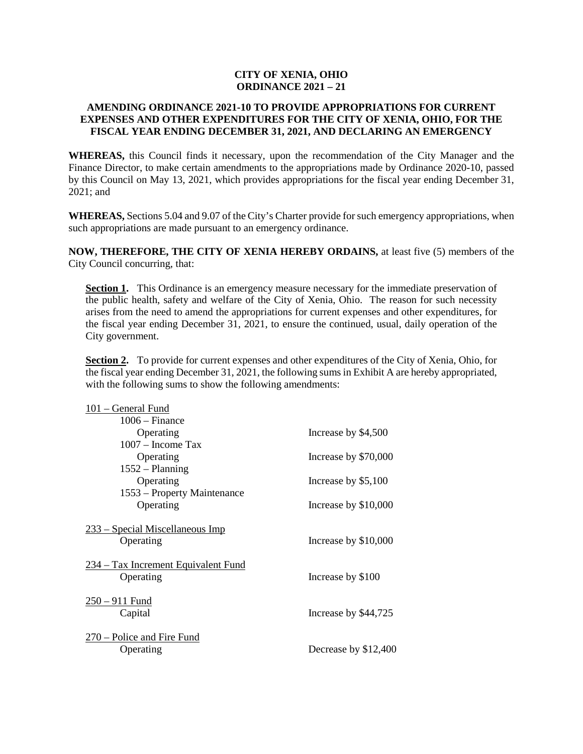## **CITY OF XENIA, OHIO ORDINANCE 2021 – 21**

## **AMENDING ORDINANCE 2021-10 TO PROVIDE APPROPRIATIONS FOR CURRENT EXPENSES AND OTHER EXPENDITURES FOR THE CITY OF XENIA, OHIO, FOR THE FISCAL YEAR ENDING DECEMBER 31, 2021, AND DECLARING AN EMERGENCY**

**WHEREAS,** this Council finds it necessary, upon the recommendation of the City Manager and the Finance Director, to make certain amendments to the appropriations made by Ordinance 2020-10, passed by this Council on May 13, 2021, which provides appropriations for the fiscal year ending December 31, 2021; and

**WHEREAS,** Sections 5.04 and 9.07 of the City's Charter provide for such emergency appropriations, when such appropriations are made pursuant to an emergency ordinance.

**NOW, THEREFORE, THE CITY OF XENIA HEREBY ORDAINS,** at least five (5) members of the City Council concurring, that:

**Section 1.** This Ordinance is an emergency measure necessary for the immediate preservation of the public health, safety and welfare of the City of Xenia, Ohio. The reason for such necessity arises from the need to amend the appropriations for current expenses and other expenditures, for the fiscal year ending December 31, 2021, to ensure the continued, usual, daily operation of the City government.

**Section 2.** To provide for current expenses and other expenditures of the City of Xenia, Ohio, for the fiscal year ending December 31, 2021, the following sums in Exhibit A are hereby appropriated, with the following sums to show the following amendments:

| 101 – General Fund                  |                      |
|-------------------------------------|----------------------|
| $1006 - Finance$                    |                      |
| Operating                           | Increase by \$4,500  |
| $1007 -$ Income Tax                 |                      |
| Operating                           | Increase by \$70,000 |
| $1552 - Planning$                   |                      |
| Operating                           | Increase by \$5,100  |
| 1553 – Property Maintenance         |                      |
| Operating                           | Increase by \$10,000 |
| 233 – Special Miscellaneous Imp     |                      |
| Operating                           | Increase by \$10,000 |
| 234 – Tax Increment Equivalent Fund |                      |
| Operating                           | Increase by \$100    |
| $250 - 911$ Fund                    |                      |
| Capital                             | Increase by \$44,725 |
|                                     |                      |
| 270 – Police and Fire Fund          |                      |
| Operating                           | Decrease by \$12,400 |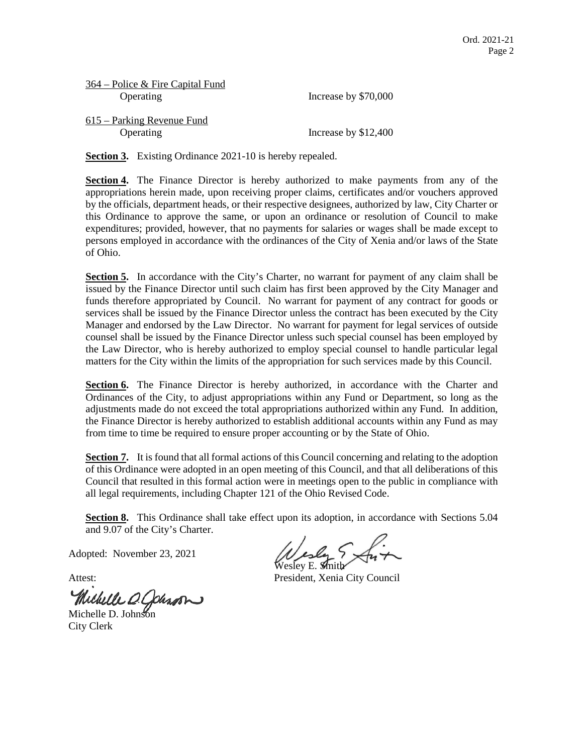| $364$ – Police & Fire Capital Fund |                      |
|------------------------------------|----------------------|
| Operating                          | Increase by \$70,000 |
| 615 – Parking Revenue Fund         |                      |
| Operating                          | Increase by \$12,400 |

**Section 3.** Existing Ordinance 2021-10 is hereby repealed.

**Section 4.** The Finance Director is hereby authorized to make payments from any of the appropriations herein made, upon receiving proper claims, certificates and/or vouchers approved by the officials, department heads, or their respective designees, authorized by law, City Charter or this Ordinance to approve the same, or upon an ordinance or resolution of Council to make expenditures; provided, however, that no payments for salaries or wages shall be made except to persons employed in accordance with the ordinances of the City of Xenia and/or laws of the State of Ohio.

**Section 5.** In accordance with the City's Charter, no warrant for payment of any claim shall be issued by the Finance Director until such claim has first been approved by the City Manager and funds therefore appropriated by Council. No warrant for payment of any contract for goods or services shall be issued by the Finance Director unless the contract has been executed by the City Manager and endorsed by the Law Director. No warrant for payment for legal services of outside counsel shall be issued by the Finance Director unless such special counsel has been employed by the Law Director, who is hereby authorized to employ special counsel to handle particular legal matters for the City within the limits of the appropriation for such services made by this Council.

**Section 6.** The Finance Director is hereby authorized, in accordance with the Charter and Ordinances of the City, to adjust appropriations within any Fund or Department, so long as the adjustments made do not exceed the total appropriations authorized within any Fund. In addition, the Finance Director is hereby authorized to establish additional accounts within any Fund as may from time to time be required to ensure proper accounting or by the State of Ohio.

**Section 7.** It is found that all formal actions of this Council concerning and relating to the adoption of this Ordinance were adopted in an open meeting of this Council, and that all deliberations of this Council that resulted in this formal action were in meetings open to the public in compliance with all legal requirements, including Chapter 121 of the Ohio Revised Code.

**Section 8.** This Ordinance shall take effect upon its adoption, in accordance with Sections 5.04 and 9.07 of the City's Charter.

Adopted: November 23, 2021

Michelle O. Johnson

City Clerk

Wesley E. Smith

Attest: President, Xenia City Council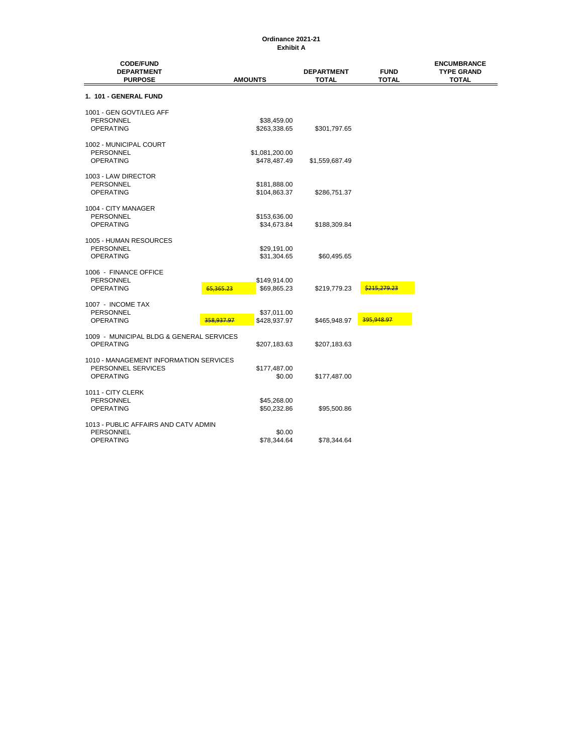## **Exhibit A Ordinance 2021-21**

| <b>CODE/FUND</b><br><b>DEPARTMENT</b><br><b>PURPOSE</b> | <b>AMOUNTS</b> |                | <b>DEPARTMENT</b><br><b>TOTAL</b> | <b>FUND</b><br>TOTAL | <b>ENCUMBRANCE</b><br><b>TYPE GRAND</b><br><b>TOTAL</b> |
|---------------------------------------------------------|----------------|----------------|-----------------------------------|----------------------|---------------------------------------------------------|
|                                                         |                |                |                                   |                      |                                                         |
| 1. 101 - GENERAL FUND                                   |                |                |                                   |                      |                                                         |
| 1001 - GEN GOVT/LEG AFF                                 |                |                |                                   |                      |                                                         |
| <b>PERSONNEL</b>                                        |                | \$38,459.00    |                                   |                      |                                                         |
| <b>OPERATING</b>                                        |                | \$263,338.65   | \$301,797.65                      |                      |                                                         |
| 1002 - MUNICIPAL COURT                                  |                |                |                                   |                      |                                                         |
| PERSONNEL                                               |                | \$1,081,200.00 |                                   |                      |                                                         |
| <b>OPERATING</b>                                        |                | \$478,487.49   | \$1,559,687.49                    |                      |                                                         |
| 1003 - LAW DIRECTOR                                     |                |                |                                   |                      |                                                         |
| PERSONNEL                                               |                | \$181,888.00   |                                   |                      |                                                         |
| <b>OPERATING</b>                                        |                | \$104,863.37   | \$286,751.37                      |                      |                                                         |
| 1004 - CITY MANAGER                                     |                |                |                                   |                      |                                                         |
| PERSONNEL                                               |                | \$153,636.00   |                                   |                      |                                                         |
| <b>OPERATING</b>                                        |                | \$34,673.84    | \$188,309.84                      |                      |                                                         |
| 1005 - HUMAN RESOURCES                                  |                |                |                                   |                      |                                                         |
| <b>PERSONNEL</b>                                        |                | \$29,191.00    |                                   |                      |                                                         |
| <b>OPERATING</b>                                        |                | \$31,304.65    | \$60,495.65                       |                      |                                                         |
| 1006 - FINANCE OFFICE                                   |                |                |                                   |                      |                                                         |
| <b>PERSONNEL</b>                                        |                | \$149,914.00   |                                   |                      |                                                         |
| <b>OPERATING</b>                                        | 65,365.23      | \$69,865.23    | \$219,779.23                      | \$215,279.23         |                                                         |
| 1007 - INCOME TAX                                       |                |                |                                   |                      |                                                         |
| <b>PERSONNEL</b>                                        |                | \$37,011.00    |                                   |                      |                                                         |
| <b>OPERATING</b>                                        | 358.937.97     | \$428,937.97   | \$465,948.97                      | 395,948.97           |                                                         |
| 1009 - MUNICIPAL BLDG & GENERAL SERVICES                |                |                |                                   |                      |                                                         |
| <b>OPERATING</b>                                        |                | \$207,183.63   | \$207,183.63                      |                      |                                                         |
| 1010 - MANAGEMENT INFORMATION SERVICES                  |                |                |                                   |                      |                                                         |
| PERSONNEL SERVICES                                      |                | \$177,487.00   |                                   |                      |                                                         |
| <b>OPERATING</b>                                        |                | \$0.00         | \$177,487.00                      |                      |                                                         |
| 1011 - CITY CLERK                                       |                |                |                                   |                      |                                                         |
| <b>PERSONNEL</b>                                        |                | \$45,268.00    |                                   |                      |                                                         |
| <b>OPERATING</b>                                        |                | \$50,232.86    | \$95,500.86                       |                      |                                                         |
| 1013 - PUBLIC AFFAIRS AND CATV ADMIN                    |                |                |                                   |                      |                                                         |
| <b>PERSONNEL</b>                                        |                | \$0.00         |                                   |                      |                                                         |
| <b>OPERATING</b>                                        |                | \$78,344.64    | \$78,344.64                       |                      |                                                         |
|                                                         |                |                |                                   |                      |                                                         |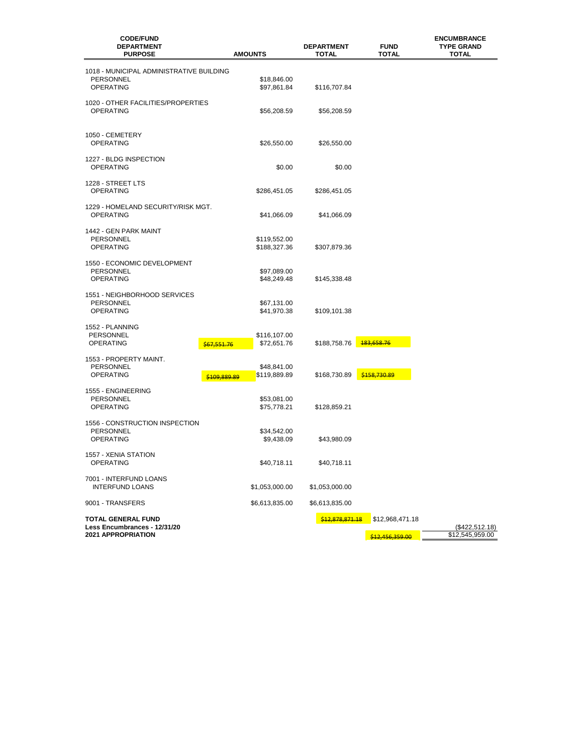| <b>CODE/FUND</b><br><b>DEPARTMENT</b><br><b>PURPOSE</b>                                | <b>AMOUNTS</b>               | DEPARTMENT<br>TOTAL | <b>FUND</b><br><b>TOTAL</b>        | <b>ENCUMBRANCE</b><br><b>TYPE GRAND</b><br><b>TOTAL</b> |
|----------------------------------------------------------------------------------------|------------------------------|---------------------|------------------------------------|---------------------------------------------------------|
| 1018 - MUNICIPAL ADMINISTRATIVE BUILDING                                               |                              |                     |                                    |                                                         |
| PERSONNEL<br><b>OPERATING</b>                                                          | \$18,846.00<br>\$97,861.84   | \$116,707.84        |                                    |                                                         |
| 1020 - OTHER FACILITIES/PROPERTIES<br><b>OPERATING</b>                                 | \$56,208.59                  | \$56,208.59         |                                    |                                                         |
| 1050 - CEMETERY<br><b>OPERATING</b>                                                    | \$26,550.00                  | \$26,550.00         |                                    |                                                         |
| 1227 - BLDG INSPECTION<br><b>OPERATING</b>                                             | \$0.00                       | \$0.00              |                                    |                                                         |
| 1228 - STREET LTS<br><b>OPERATING</b>                                                  | \$286,451.05                 | \$286,451.05        |                                    |                                                         |
| 1229 - HOMELAND SECURITY/RISK MGT.<br><b>OPERATING</b>                                 | \$41,066.09                  | \$41,066.09         |                                    |                                                         |
| 1442 - GEN PARK MAINT<br>PERSONNEL<br><b>OPERATING</b>                                 | \$119,552.00<br>\$188,327.36 | \$307,879.36        |                                    |                                                         |
| 1550 - ECONOMIC DEVELOPMENT<br>PERSONNEL<br><b>OPERATING</b>                           | \$97,089.00<br>\$48,249.48   | \$145,338.48        |                                    |                                                         |
| 1551 - NEIGHBORHOOD SERVICES<br>PERSONNEL<br><b>OPERATING</b>                          | \$67,131.00<br>\$41,970.38   | \$109,101.38        |                                    |                                                         |
| 1552 - PLANNING<br>PERSONNEL<br><b>OPERATING</b><br>\$67,551.76                        | \$116,107.00<br>\$72,651.76  | \$188,758.76        | 183,658.76                         |                                                         |
| 1553 - PROPERTY MAINT.<br>PERSONNEL<br><b>OPERATING</b><br>\$109.889.89                | \$48,841.00<br>\$119,889.89  | \$168,730.89        | \$158,730.89                       |                                                         |
| 1555 - ENGINEERING<br>PERSONNEL<br><b>OPERATING</b>                                    | \$53,081.00<br>\$75,778.21   | \$128,859.21        |                                    |                                                         |
| 1556 - CONSTRUCTION INSPECTION<br>PERSONNEL<br><b>OPERATING</b>                        | \$34,542.00<br>\$9,438.09    | \$43,980.09         |                                    |                                                         |
| 1557 - XENIA STATION<br>OPERATING                                                      | \$40,718.11                  | \$40,718.11         |                                    |                                                         |
| 7001 - INTERFUND LOANS<br><b>INTERFUND LOANS</b>                                       | \$1,053,000.00               | \$1,053,000.00      |                                    |                                                         |
| 9001 - TRANSFERS                                                                       | \$6,613,835.00               | \$6,613,835.00      |                                    |                                                         |
| <b>TOTAL GENERAL FUND</b><br>Less Encumbrances - 12/31/20<br><b>2021 APPROPRIATION</b> |                              | \$12,878,871.18     | \$12,968,471.18<br>\$12,456,359.00 | (\$422,512.18)<br>\$12,545,959.00                       |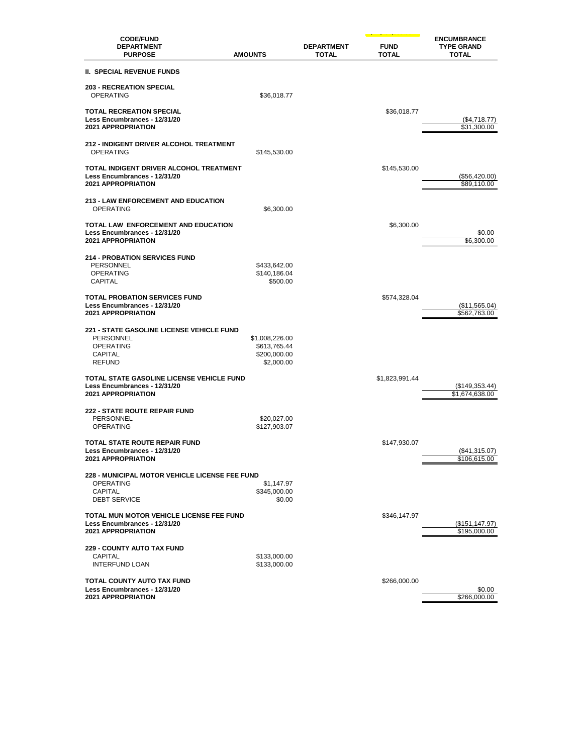| <b>CODE/FUND</b><br><b>DEPARTMENT</b><br><b>PURPOSE</b>                                                              | <b>AMOUNTS</b>                                               | <b>DEPARTMENT</b><br><b>TOTAL</b> | <b>FUND</b><br><b>TOTAL</b> | <b>ENCUMBRANCE</b><br><b>TYPE GRAND</b><br><b>TOTAL</b> |
|----------------------------------------------------------------------------------------------------------------------|--------------------------------------------------------------|-----------------------------------|-----------------------------|---------------------------------------------------------|
| <b>II. SPECIAL REVENUE FUNDS</b>                                                                                     |                                                              |                                   |                             |                                                         |
| <b>203 - RECREATION SPECIAL</b><br><b>OPERATING</b>                                                                  | \$36,018.77                                                  |                                   |                             |                                                         |
| <b>TOTAL RECREATION SPECIAL</b><br>Less Encumbrances - 12/31/20<br><b>2021 APPROPRIATION</b>                         |                                                              |                                   | \$36,018.77                 | $(\$4,718.77)$<br>\$31,300.00                           |
| <b>212 - INDIGENT DRIVER ALCOHOL TREATMENT</b><br><b>OPERATING</b>                                                   | \$145,530.00                                                 |                                   |                             |                                                         |
| TOTAL INDIGENT DRIVER ALCOHOL TREATMENT<br>Less Encumbrances - 12/31/20<br><b>2021 APPROPRIATION</b>                 |                                                              |                                   | \$145,530.00                | (\$56,420.00)<br>\$89,110.00                            |
| <b>213 - LAW ENFORCEMENT AND EDUCATION</b><br><b>OPERATING</b>                                                       | \$6,300.00                                                   |                                   |                             |                                                         |
| TOTAL LAW ENFORCEMENT AND EDUCATION<br>Less Encumbrances - 12/31/20<br><b>2021 APPROPRIATION</b>                     |                                                              |                                   | \$6,300.00                  | \$0.00<br>\$6,300.00                                    |
| <b>214 - PROBATION SERVICES FUND</b><br>PERSONNEL<br><b>OPERATING</b><br><b>CAPITAL</b>                              | \$433,642.00<br>\$140,186.04<br>\$500.00                     |                                   |                             |                                                         |
| <b>TOTAL PROBATION SERVICES FUND</b><br>Less Encumbrances - 12/31/20<br>2021 APPROPRIATION                           |                                                              |                                   | \$574,328.04                | (\$11,565.04)<br>\$562,763.00                           |
| <b>221 - STATE GASOLINE LICENSE VEHICLE FUND</b><br><b>PERSONNEL</b><br><b>OPERATING</b><br>CAPITAL<br><b>REFUND</b> | \$1,008,226.00<br>\$613,765.44<br>\$200,000.00<br>\$2,000.00 |                                   |                             |                                                         |
| TOTAL STATE GASOLINE LICENSE VEHICLE FUND<br>Less Encumbrances - 12/31/20<br><b>2021 APPROPRIATION</b>               |                                                              |                                   | \$1,823,991.44              | (\$149,353.44)<br>\$1,674,638.00                        |
| <b>222 - STATE ROUTE REPAIR FUND</b><br>PERSONNEL<br>OPERATING                                                       | \$20,027.00<br>\$127,903.07                                  |                                   |                             |                                                         |
| <b>TOTAL STATE ROUTE REPAIR FUND</b><br>Less Encumbrances - 12/31/20<br><b>2021 APPROPRIATION</b>                    |                                                              |                                   | \$147,930.07                | $($ \$41,315.07)<br>\$106,615.00                        |
| <b>228 - MUNICIPAL MOTOR VEHICLE LICENSE FEE FUND</b><br><b>OPERATING</b><br>CAPITAL<br><b>DEBT SERVICE</b>          | \$1,147.97<br>\$345,000.00<br>\$0.00                         |                                   |                             |                                                         |
| TOTAL MUN MOTOR VEHICLE LICENSE FEE FUND<br>Less Encumbrances - 12/31/20<br><b>2021 APPROPRIATION</b>                |                                                              |                                   | \$346,147.97                | $($ \$151,147.97 $)$<br>\$195,000.00                    |
| <b>229 - COUNTY AUTO TAX FUND</b><br>CAPITAL<br><b>INTERFUND LOAN</b>                                                | \$133,000.00<br>\$133,000.00                                 |                                   |                             |                                                         |
| TOTAL COUNTY AUTO TAX FUND<br>Less Encumbrances - 12/31/20<br>2021 APPROPRIATION                                     |                                                              |                                   | \$266,000.00                | \$0.00<br>\$266,000.00                                  |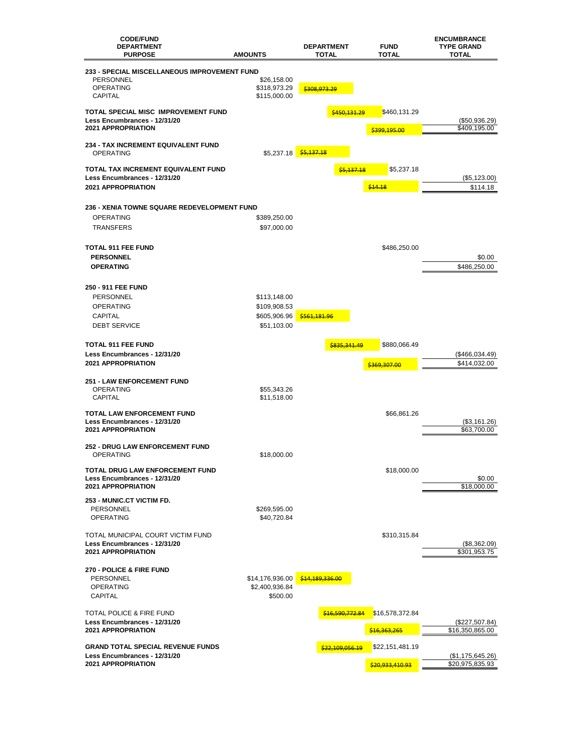| <b>CODE/FUND</b><br><b>DEPARTMENT</b><br><b>PURPOSE</b>                                                | <b>AMOUNTS</b>                                              | <b>DEPARTMENT</b><br><b>TOTAL</b> | <b>FUND</b><br><b>TOTAL</b>             | <b>ENCUMBRANCE</b><br><b>TYPE GRAND</b><br><b>TOTAL</b> |
|--------------------------------------------------------------------------------------------------------|-------------------------------------------------------------|-----------------------------------|-----------------------------------------|---------------------------------------------------------|
| 233 - SPECIAL MISCELLANEOUS IMPROVEMENT FUND<br><b>PERSONNEL</b><br><b>OPERATING</b><br><b>CAPITAL</b> | \$26,158.00<br>\$318,973.29<br>\$115,000.00                 | \$308,973.29                      |                                         |                                                         |
| TOTAL SPECIAL MISC IMPROVEMENT FUND                                                                    |                                                             | \$450,131.29                      | \$460,131.29                            |                                                         |
| Less Encumbrances - 12/31/20<br><b>2021 APPROPRIATION</b>                                              |                                                             |                                   | \$399,195.00                            | (\$50,936.29)<br>\$409.195.00                           |
| <b>234 - TAX INCREMENT EQUIVALENT FUND</b><br>OPERATING                                                | \$5,237.18 \$5,137.18                                       |                                   |                                         |                                                         |
| TOTAL TAX INCREMENT EQUIVALENT FUND<br>Less Encumbrances - 12/31/20                                    |                                                             | \$5,137.18                        | \$5,237.18                              | (\$5,123.00)                                            |
| <b>2021 APPROPRIATION</b>                                                                              |                                                             |                                   | \$14.18                                 | \$114.18                                                |
| 236 - XENIA TOWNE SQUARE REDEVELOPMENT FUND                                                            |                                                             |                                   |                                         |                                                         |
| <b>OPERATING</b><br><b>TRANSFERS</b>                                                                   | \$389,250.00<br>\$97,000.00                                 |                                   |                                         |                                                         |
| <b>TOTAL 911 FEE FUND</b><br><b>PERSONNEL</b><br><b>OPERATING</b>                                      |                                                             |                                   | \$486,250.00                            | \$0.00<br>\$486,250.00                                  |
| 250 - 911 FEE FUND<br>PERSONNEL<br><b>OPERATING</b><br>CAPITAL<br><b>DEBT SERVICE</b>                  | \$113,148.00<br>\$109,908.53<br>\$605,906.96<br>\$51,103.00 | \$561,181.96                      |                                         |                                                         |
| <b>TOTAL 911 FEE FUND</b><br>Less Encumbrances - 12/31/20<br>2021 APPROPRIATION                        |                                                             | \$835.341.49                      | \$880,066.49<br><del>\$369.307.00</del> | (\$466,034.49)<br>\$414,032.00                          |
| 251 - LAW ENFORCEMENT FUND<br><b>OPERATING</b><br><b>CAPITAL</b>                                       | \$55,343.26<br>\$11,518.00                                  |                                   |                                         |                                                         |
| <b>TOTAL LAW ENFORCEMENT FUND</b><br>Less Encumbrances - 12/31/20<br><b>2021 APPROPRIATION</b>         |                                                             |                                   | \$66,861.26                             | $($ \$3,161.26 $)$<br>\$63,700.00                       |
| <b>252 - DRUG LAW ENFORCEMENT FUND</b><br><b>OPERATING</b>                                             | \$18,000.00                                                 |                                   |                                         |                                                         |
| <b>TOTAL DRUG LAW ENFORCEMENT FUND</b><br>Less Encumbrances - 12/31/20<br><b>2021 APPROPRIATION</b>    |                                                             |                                   | \$18,000.00                             | \$0.00<br>\$18,000.00                                   |
| 253 - MUNIC.CT VICTIM FD.<br>PERSONNEL<br><b>OPERATING</b>                                             | \$269,595.00<br>\$40,720.84                                 |                                   |                                         |                                                         |
| TOTAL MUNICIPAL COURT VICTIM FUND<br>Less Encumbrances - 12/31/20<br>2021 APPROPRIATION                |                                                             |                                   | \$310,315.84                            | (\$8,362.09)<br>\$301,953.75                            |
| 270 - POLICE & FIRE FUND<br>PERSONNEL<br><b>OPERATING</b><br><b>CAPITAL</b>                            | \$14,176,936.00<br>\$2,400,936.84<br>\$500.00               | \$14,189,336.00                   |                                         |                                                         |
| TOTAL POLICE & FIRE FUND<br>Less Encumbrances - 12/31/20<br>2021 APPROPRIATION                         |                                                             | \$16,590,772.84                   | \$16,578,372.84<br>\$16,363,265         | (\$227,507.84)<br>\$16,350,865.00                       |
| <b>GRAND TOTAL SPECIAL REVENUE FUNDS</b><br>Less Encumbrances - 12/31/20<br><b>2021 APPROPRIATION</b>  |                                                             | \$22,109,056.19                   | \$22,151,481.19<br>\$20,933,410.93      | (\$1,175,645.26)<br>\$20,975,835.93                     |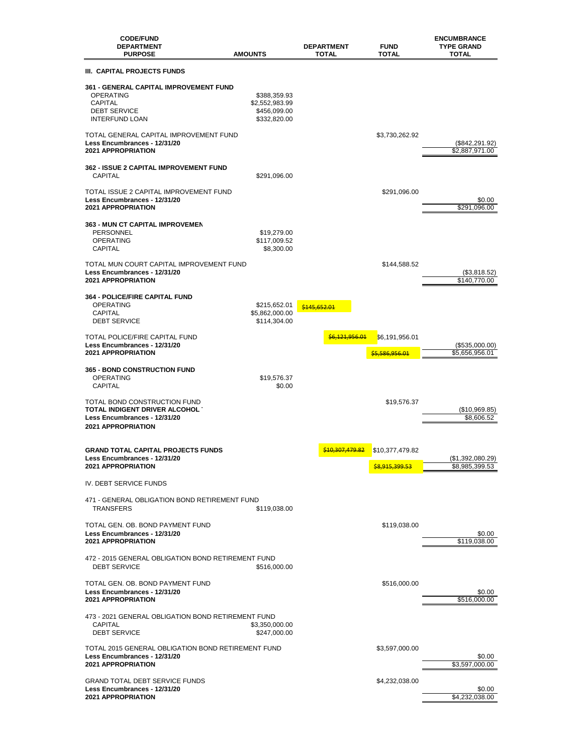| <b>CODE/FUND</b><br><b>DEPARTMENT</b><br><b>PURPOSE</b>                                                                             | <b>AMOUNTS</b>                                                 | DEPARTMENT<br><b>TOTAL</b> | <b>FUND</b><br><b>TOTAL</b>              | <b>ENCUMBRANCE</b><br><b>TYPE GRAND</b><br><b>TOTAL</b> |
|-------------------------------------------------------------------------------------------------------------------------------------|----------------------------------------------------------------|----------------------------|------------------------------------------|---------------------------------------------------------|
| III. CAPITAL PROJECTS FUNDS                                                                                                         |                                                                |                            |                                          |                                                         |
| <b>361 - GENERAL CAPITAL IMPROVEMENT FUND</b><br><b>OPERATING</b><br><b>CAPITAL</b><br><b>DEBT SERVICE</b><br><b>INTERFUND LOAN</b> | \$388,359.93<br>\$2,552,983.99<br>\$456,099.00<br>\$332,820.00 |                            |                                          |                                                         |
| TOTAL GENERAL CAPITAL IMPROVEMENT FUND<br>Less Encumbrances - 12/31/20<br>2021 APPROPRIATION                                        |                                                                |                            | \$3,730,262.92                           | $(\$842, 291.92)$<br>\$2,887,971.00                     |
| <b>362 - ISSUE 2 CAPITAL IMPROVEMENT FUND</b><br><b>CAPITAL</b>                                                                     | \$291,096.00                                                   |                            |                                          |                                                         |
| TOTAL ISSUE 2 CAPITAL IMPROVEMENT FUND<br>Less Encumbrances - 12/31/20<br><b>2021 APPROPRIATION</b>                                 |                                                                |                            | \$291,096.00                             | \$0.00<br>\$291,096.00                                  |
| 363 - MUN CT CAPITAL IMPROVEMEN<br>PERSONNEL<br><b>OPERATING</b><br><b>CAPITAL</b>                                                  | \$19,279.00<br>\$117,009.52<br>\$8,300.00                      |                            |                                          |                                                         |
| TOTAL MUN COURT CAPITAL IMPROVEMENT FUND<br>Less Encumbrances - 12/31/20<br>2021 APPROPRIATION                                      |                                                                |                            | \$144,588.52                             | (\$3,818.52)<br>\$140,770.00                            |
| 364 - POLICE/FIRE CAPITAL FUND<br><b>OPERATING</b><br><b>CAPITAL</b><br><b>DEBT SERVICE</b>                                         | \$215,652.01<br>\$5,862,000.00<br>\$114,304.00                 | \$145,652.01               |                                          |                                                         |
| TOTAL POLICE/FIRE CAPITAL FUND<br>Less Encumbrances - 12/31/20<br><b>2021 APPROPRIATION</b>                                         |                                                                | \$6,121,956.01             | \$6,191,956.01<br>\$5.586.956.01         | (\$535,000.00)<br>\$5,656,956.01                        |
| <b>365 - BOND CONSTRUCTION FUND</b><br>OPERATING<br><b>CAPITAL</b>                                                                  | \$19,576.37<br>\$0.00                                          |                            |                                          |                                                         |
| TOTAL BOND CONSTRUCTION FUND<br>TOTAL INDIGENT DRIVER ALCOHOL<br>Less Encumbrances - 12/31/20<br>2021 APPROPRIATION                 |                                                                |                            | \$19,576.37                              | (\$10,969.85)<br>\$8,606.52                             |
| <b>GRAND TOTAL CAPITAL PROJECTS FUNDS</b><br>Less Encumbrances - 12/31/20<br><b>2021 APPROPRIATION</b>                              |                                                                | \$10,307,479.82            | \$10,377,479.82<br><u>\$8,915,399.53</u> | (\$1,392,080.29)<br>\$8,985,399.53                      |
| IV. DEBT SERVICE FUNDS                                                                                                              |                                                                |                            |                                          |                                                         |
| 471 - GENERAL OBLIGATION BOND RETIREMENT FUND<br><b>TRANSFERS</b>                                                                   | \$119,038.00                                                   |                            |                                          |                                                         |
| TOTAL GEN. OB. BOND PAYMENT FUND<br>Less Encumbrances - 12/31/20<br><b>2021 APPROPRIATION</b>                                       |                                                                |                            | \$119,038.00                             | \$0.00<br>\$119,038.00                                  |
| 472 - 2015 GENERAL OBLIGATION BOND RETIREMENT FUND<br><b>DEBT SERVICE</b>                                                           | \$516,000.00                                                   |                            |                                          |                                                         |
| TOTAL GEN. OB. BOND PAYMENT FUND<br>Less Encumbrances - 12/31/20<br>2021 APPROPRIATION                                              |                                                                |                            | \$516,000.00                             | \$0.00<br>\$516,000.00                                  |
| 473 - 2021 GENERAL OBLIGATION BOND RETIREMENT FUND<br><b>CAPITAL</b><br><b>DEBT SERVICE</b>                                         | \$3,350,000.00<br>\$247,000.00                                 |                            |                                          |                                                         |
| TOTAL 2015 GENERAL OBLIGATION BOND RETIREMENT FUND<br>Less Encumbrances - 12/31/20<br><b>2021 APPROPRIATION</b>                     |                                                                |                            | \$3,597,000.00                           | \$0.00<br>\$3,597,000.00                                |
| <b>GRAND TOTAL DEBT SERVICE FUNDS</b><br>Less Encumbrances - 12/31/20<br>2021 APPROPRIATION                                         |                                                                |                            | \$4,232,038.00                           | \$0.00<br>\$4,232,038.00                                |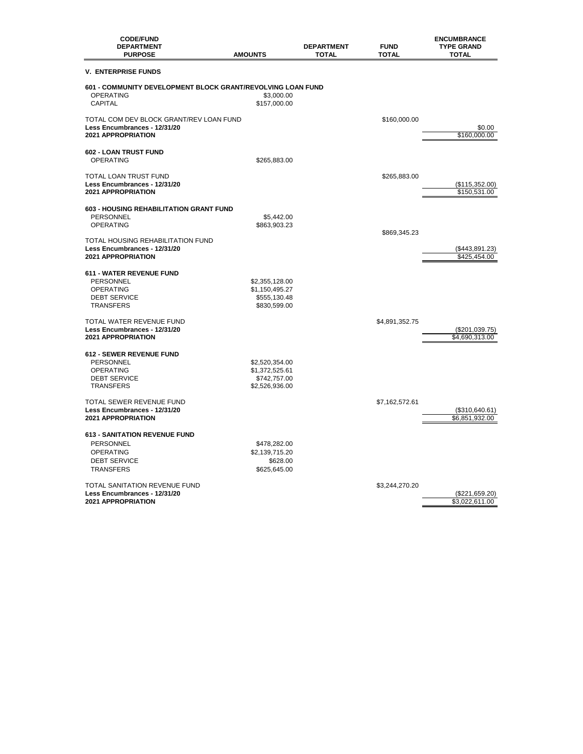| <b>CODE/FUND</b><br><b>DEPARTMENT</b><br><b>PURPOSE</b>                                                                 | <b>AMOUNTS</b>                                                     | <b>DEPARTMENT</b><br><b>TOTAL</b> | <b>FUND</b><br><b>TOTAL</b> | <b>ENCUMBRANCE</b><br><b>TYPE GRAND</b><br><b>TOTAL</b> |
|-------------------------------------------------------------------------------------------------------------------------|--------------------------------------------------------------------|-----------------------------------|-----------------------------|---------------------------------------------------------|
| <b>V. ENTERPRISE FUNDS</b>                                                                                              |                                                                    |                                   |                             |                                                         |
| 601 - COMMUNITY DEVELOPMENT BLOCK GRANT/REVOLVING LOAN FUND<br><b>OPERATING</b><br><b>CAPITAL</b>                       | \$3,000.00<br>\$157,000.00                                         |                                   |                             |                                                         |
| TOTAL COM DEV BLOCK GRANT/REV LOAN FUND<br>Less Encumbrances - 12/31/20<br><b>2021 APPROPRIATION</b>                    |                                                                    |                                   | \$160,000.00                | \$0.00<br>\$160,000.00                                  |
| 602 - LOAN TRUST FUND<br><b>OPERATING</b>                                                                               | \$265,883.00                                                       |                                   |                             |                                                         |
| TOTAL LOAN TRUST FUND<br>Less Encumbrances - 12/31/20<br><b>2021 APPROPRIATION</b>                                      |                                                                    |                                   | \$265,883.00                | (\$115,352.00)<br>\$150,531.00                          |
| 603 - HOUSING REHABILITATION GRANT FUND<br><b>PERSONNEL</b><br><b>OPERATING</b>                                         | \$5,442.00<br>\$863,903.23                                         |                                   | \$869,345.23                |                                                         |
| TOTAL HOUSING REHABILITATION FUND<br>Less Encumbrances - 12/31/20<br><b>2021 APPROPRIATION</b>                          |                                                                    |                                   |                             | (\$443,891.23)<br>\$425,454.00                          |
| <b>611 - WATER REVENUE FUND</b><br><b>PERSONNEL</b><br><b>OPERATING</b><br><b>DEBT SERVICE</b><br><b>TRANSFERS</b>      | \$2,355,128.00<br>\$1,150,495.27<br>\$555,130.48<br>\$830,599.00   |                                   |                             |                                                         |
| TOTAL WATER REVENUE FUND<br>Less Encumbrances - 12/31/20<br><b>2021 APPROPRIATION</b>                                   |                                                                    |                                   | \$4,891,352.75              | (\$201,039.75)<br>\$4,690,313.00                        |
| 612 - SEWER REVENUE FUND<br><b>PERSONNEL</b><br><b>OPERATING</b><br><b>DEBT SERVICE</b><br><b>TRANSFERS</b>             | \$2,520,354.00<br>\$1,372,525.61<br>\$742,757.00<br>\$2,526,936.00 |                                   |                             |                                                         |
| TOTAL SEWER REVENUE FUND<br>Less Encumbrances - 12/31/20<br>2021 APPROPRIATION                                          |                                                                    |                                   | \$7,162,572.61              | (\$310,640.61)<br>\$6,851,932.00                        |
| <b>613 - SANITATION REVENUE FUND</b><br><b>PERSONNEL</b><br><b>OPERATING</b><br><b>DEBT SERVICE</b><br><b>TRANSFERS</b> | \$478,282.00<br>\$2,139,715.20<br>\$628.00<br>\$625,645.00         |                                   |                             |                                                         |
| TOTAL SANITATION REVENUE FUND<br>Less Encumbrances - 12/31/20<br><b>2021 APPROPRIATION</b>                              |                                                                    |                                   | \$3,244,270.20              | (\$221,659.20)<br>\$3,022,611.00                        |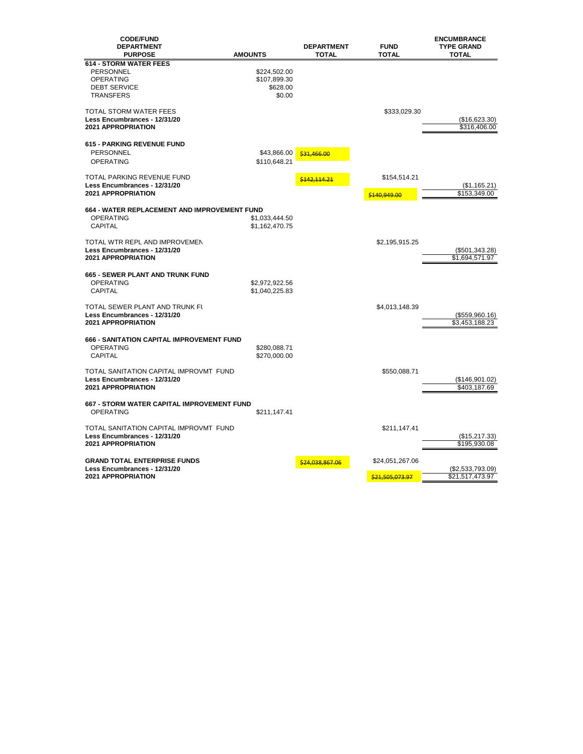| <b>CODE/FUND</b><br><b>DEPARTMENT</b><br><b>PURPOSE</b>   | <b>AMOUNTS</b> | <b>DEPARTMENT</b><br><b>TOTAL</b> | <b>FUND</b><br><b>TOTAL</b> | <b>ENCUMBRANCE</b><br><b>TYPE GRAND</b><br><b>TOTAL</b> |
|-----------------------------------------------------------|----------------|-----------------------------------|-----------------------------|---------------------------------------------------------|
| <b>614 - STORM WATER FEES</b>                             |                |                                   |                             |                                                         |
| <b>PERSONNEL</b>                                          | \$224,502.00   |                                   |                             |                                                         |
| <b>OPERATING</b>                                          | \$107,899.30   |                                   |                             |                                                         |
| <b>DEBT SERVICE</b>                                       | \$628.00       |                                   |                             |                                                         |
| <b>TRANSFERS</b>                                          | \$0.00         |                                   |                             |                                                         |
| <b>TOTAL STORM WATER FEES</b>                             |                |                                   | \$333,029.30                |                                                         |
| Less Encumbrances - 12/31/20                              |                |                                   |                             | (\$16,623.30)                                           |
| <b>2021 APPROPRIATION</b>                                 |                |                                   |                             | \$316,406.00                                            |
| <b>615 - PARKING REVENUE FUND</b>                         |                |                                   |                             |                                                         |
| <b>PERSONNEL</b>                                          |                |                                   |                             |                                                         |
|                                                           | \$43,866.00    | \$31.466.00                       |                             |                                                         |
| <b>OPERATING</b>                                          | \$110,648.21   |                                   |                             |                                                         |
| TOTAL PARKING REVENUE FUND                                |                | \$142.114.21                      | \$154,514.21                |                                                         |
| Less Encumbrances - 12/31/20                              |                |                                   |                             | (S1, 165.21)                                            |
| 2021 APPROPRIATION                                        |                |                                   | \$140.949.00                | \$153.349.00                                            |
| 664 - WATER REPLACEMENT AND IMPROVEMENT FUND              |                |                                   |                             |                                                         |
| <b>OPERATING</b>                                          | \$1,033,444.50 |                                   |                             |                                                         |
| CAPITAL                                                   | \$1,162,470.75 |                                   |                             |                                                         |
| TOTAL WTR REPL AND IMPROVEMEN                             |                |                                   | \$2,195,915.25              |                                                         |
| Less Encumbrances - 12/31/20                              |                |                                   |                             | (\$501,343.28)                                          |
| <b>2021 APPROPRIATION</b>                                 |                |                                   |                             | \$1.694.571.97                                          |
|                                                           |                |                                   |                             |                                                         |
| 665 - SEWER PLANT AND TRUNK FUND                          |                |                                   |                             |                                                         |
| <b>OPERATING</b><br><b>CAPITAL</b>                        | \$2,972,922.56 |                                   |                             |                                                         |
|                                                           | \$1,040,225.83 |                                   |                             |                                                         |
| TOTAL SEWER PLANT AND TRUNK FL                            |                |                                   | \$4,013,148.39              |                                                         |
| Less Encumbrances - 12/31/20                              |                |                                   |                             | (\$559,960.16)                                          |
| <b>2021 APPROPRIATION</b>                                 |                |                                   |                             | \$3,453,188.23                                          |
| <b>666 - SANITATION CAPITAL IMPROVEMENT FUND</b>          |                |                                   |                             |                                                         |
| <b>OPERATING</b>                                          | \$280,088.71   |                                   |                             |                                                         |
| <b>CAPITAL</b>                                            | \$270,000.00   |                                   |                             |                                                         |
| TOTAL SANITATION CAPITAL IMPROVMT FUND                    |                |                                   | \$550,088.71                |                                                         |
| Less Encumbrances - 12/31/20                              |                |                                   |                             | (\$146,901.02)                                          |
| <b>2021 APPROPRIATION</b>                                 |                |                                   |                             | \$403,187.69                                            |
| 667 - STORM WATER CAPITAL IMPROVEMENT FUND                |                |                                   |                             |                                                         |
| <b>OPERATING</b>                                          | \$211,147.41   |                                   |                             |                                                         |
|                                                           |                |                                   |                             |                                                         |
| TOTAL SANITATION CAPITAL IMPROVMT FUND                    |                |                                   | \$211,147.41                |                                                         |
| Less Encumbrances - 12/31/20<br><b>2021 APPROPRIATION</b> |                |                                   |                             | (\$15,217.33)<br>\$195.930.08                           |
|                                                           |                |                                   |                             |                                                         |
| <b>GRAND TOTAL ENTERPRISE FUNDS</b>                       |                | <b>\$24.038.867.06</b>            | \$24,051,267.06             |                                                         |
| Less Encumbrances - 12/31/20                              |                |                                   |                             | (S2, 533, 793.09)                                       |
| <b>2021 APPROPRIATION</b>                                 |                |                                   | \$21.505.073.97             | \$21,517,473.97                                         |